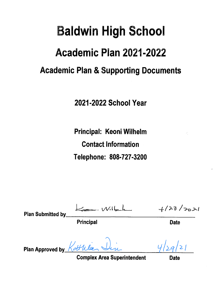# **Baldwin High School Academic Plan 2021-2022 Academic Plan & Supporting Documents**

2021-2022 School Year

Principal: Keoni Wilhelm **Contact Information** Telephone: 808-727-3200

Principal

 $+123/2021$ 

**Plan Submitted by** 

**Date** 

ottila Plan Approved by

**Complex Area Superintendent**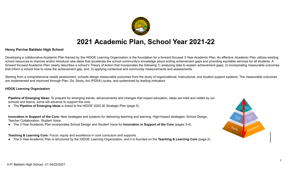

# **2021 Academic Plan, School Year 2021-22**

### **Henry Perrine Baldwin High School**

Developing a collaborative Academic Plan framed by the HIDOE Learning Organization is the foundation for a forward focused 3-Year Academic Plan. An effective Academic Plan utilizes existing school resources to improve and/or introduce new ideas that accelerate the school community's knowledge about ending achievement gaps and providing equitable services for all students. A forward focused Academic Plan clearly describes a school's Theory of Action that incorporates the following:1) analyzing data to explain achievement gaps; 2) incorporating measurable outcomes that inform a school how to close the achievement gap; and, 3) applying contextual and community measurements and assessments.

Starting from a comprehensive needs assessment, schools design measurable outcomes from the study of organizational, instructional, and student support systems. The measurable outcomes are implemented and improved through Plan, Do, Study, Act (PDSA) cycles, and systemized by leading indicators.

#### **HIDOE Learning Organization**

**Pipeline of Emerging Ideas:** To prepare for emerging trends, advancements and changes that impact education, ideas are tried and vetted by our schools and teams, some will advance to support the core.

● The **Pipeline of Emerging Ideas** is linked to the HIDOE 2020-30 Strategic Plan (page 5).

**Innovation in Support of the Core:** New strategies and systems for delivering teaching and learning. High-Impact strategies: School Design, Teacher Collaboration, Student Voice.

● The 3-Year Academic Plan incorporates School Design and Student Voice for **Innovation in Support of the Core** (pages 3-4).

**Teaching & Learning Core:** Focus: equity and excellence in core curriculum and supports

● The 3-Year Academic Plan is structured by the HIDOE Learning Organization, and it is founded on the **Teaching & Learning Core** (page 2).

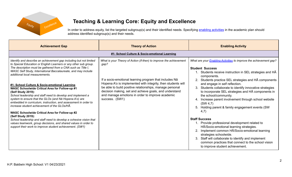

## **Teaching & Learning Core: Equity and Excellence**

In order to address equity, list the targeted subgroup(s) and their identified needs. Specifying enabling [activities](https://docs.google.com/document/d/1_CBCCCUPTqpr2sEeh1fQ9EUVupyhBBZlYUdzcm9zCw0) in the academic plan should address identified subgroup(s) and their needs.

| <b>Achievement Gap</b>                                                                                                                                                                                                                                                                                                                                                                                                                                                                                                                                                                                                                                                                                                                                                                                                                                                                                                                                             | <b>Theory of Action</b>                                                                                                                                                                                                                                                                                                                                                                          | <b>Enabling Activity</b>                                                                                                                                                                                                                                                                                                                                                                                                                                                                                                                                                                                                                                                                                                                                                                                                                                                                                 |
|--------------------------------------------------------------------------------------------------------------------------------------------------------------------------------------------------------------------------------------------------------------------------------------------------------------------------------------------------------------------------------------------------------------------------------------------------------------------------------------------------------------------------------------------------------------------------------------------------------------------------------------------------------------------------------------------------------------------------------------------------------------------------------------------------------------------------------------------------------------------------------------------------------------------------------------------------------------------|--------------------------------------------------------------------------------------------------------------------------------------------------------------------------------------------------------------------------------------------------------------------------------------------------------------------------------------------------------------------------------------------------|----------------------------------------------------------------------------------------------------------------------------------------------------------------------------------------------------------------------------------------------------------------------------------------------------------------------------------------------------------------------------------------------------------------------------------------------------------------------------------------------------------------------------------------------------------------------------------------------------------------------------------------------------------------------------------------------------------------------------------------------------------------------------------------------------------------------------------------------------------------------------------------------------------|
|                                                                                                                                                                                                                                                                                                                                                                                                                                                                                                                                                                                                                                                                                                                                                                                                                                                                                                                                                                    | #1: School Culture & Socio-emotional Learning                                                                                                                                                                                                                                                                                                                                                    |                                                                                                                                                                                                                                                                                                                                                                                                                                                                                                                                                                                                                                                                                                                                                                                                                                                                                                          |
| Identify and describe an achievement gap including but not limited<br>to Special Education or English Learners or any other sub group.<br>The description must be gathered from a CNA such as Title I,<br>WASC Self Study, International Baccalaureate, and may include<br>additional local measurements.<br>#1: School Culture & Socio-emotional Learning<br>WASC Schoolwide Critical Area for Follow-up #1<br>(Self Study 2019):<br>School leadership and staff need to develop and implement a<br>system to ensure that the GLOs (and Nā Hopena A'o) are<br>embedded in curriculum, instruction, and assessment in order to<br>increase student achievement of the GLOs/HA.<br><b>WASC Schoolwide Critical Area for Follow-up #2</b><br>(Self Study 2019):<br>School leadership and staff need to develop a cohesive vision that<br>values teamwork, group decisions, and shared values in order to<br>support their work to improve student achievement. (SW1) | What is your Theory of Action (if-then) to improve the achievement<br>gap?<br>If a socio-emotional learning program that includes Na<br>Hopena A'o is implemented with integrity, then students will<br>be able to build positive relationships, manage personal<br>decision making, set and achieve goals, and understand<br>and manage emotions in order to improve academic<br>success. (SW1) | What are your <b>Enabling Activities</b> to improve the achievement gap?<br><b>Student Success</b><br>1. Students receive instruction in SEL strategies and HA<br>components.<br>2. Students practice SEL strategies and HA components<br>and engage in self reflection.<br>3. Students collaborate to identify innovative strategies<br>to incorporate SEL strategies and HA components in<br>the school/community.<br>4. Increase parent involvement through school website<br>(SW 4,7)<br>5. Holding parent & family engagement events (SW)<br>4,7)<br><b>Staff Success</b><br>1. Provide professional development related to<br>HĀ/Socio-emotional learning strategies.<br>2. Implement common HA/Socio-emotional learning<br>strategies schoolwide.<br>3. Staff will collaborate to identify and implement<br>common practices that connect to the school vision<br>to improve student achievement. |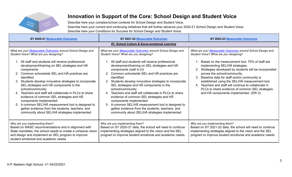

Describe here your complex/school contexts for School Design and Student Voice. Describe here your current and continuing initiatives that will further advance your 2020-21 School Design and Student Voice. Describe here your Conditions for Success for School Design and Student Voice.

| SY 2020-21 Measurable Outcomes                                                                                                                                                                                                                                                                                                                                                                                                                                                                                                                                                                          | SY 2021-22 Measurable Outcomes                                                                                                                                                                                                                                                                                                                                                                                                                                                                                                                                                                                        | SY 2022-23 Measurable Outcomes                                                                                                                                                                                                                                                                                                                                                                                                                |  |  |  |
|---------------------------------------------------------------------------------------------------------------------------------------------------------------------------------------------------------------------------------------------------------------------------------------------------------------------------------------------------------------------------------------------------------------------------------------------------------------------------------------------------------------------------------------------------------------------------------------------------------|-----------------------------------------------------------------------------------------------------------------------------------------------------------------------------------------------------------------------------------------------------------------------------------------------------------------------------------------------------------------------------------------------------------------------------------------------------------------------------------------------------------------------------------------------------------------------------------------------------------------------|-----------------------------------------------------------------------------------------------------------------------------------------------------------------------------------------------------------------------------------------------------------------------------------------------------------------------------------------------------------------------------------------------------------------------------------------------|--|--|--|
| #1: School Culture & Socio-emotional Learning                                                                                                                                                                                                                                                                                                                                                                                                                                                                                                                                                           |                                                                                                                                                                                                                                                                                                                                                                                                                                                                                                                                                                                                                       |                                                                                                                                                                                                                                                                                                                                                                                                                                               |  |  |  |
| What are your Measurable Outcomes around School Design and<br>What are your Measurable Outcomes around School Design and<br>Student Voice? What are you designing?<br>Student Voice? What are you designing?                                                                                                                                                                                                                                                                                                                                                                                            |                                                                                                                                                                                                                                                                                                                                                                                                                                                                                                                                                                                                                       | What are your Measurable Outcomes around School Design and<br>Student Voice? What are you designing?                                                                                                                                                                                                                                                                                                                                          |  |  |  |
| 1. All staff and students will receive professional<br>development/training on SEL strategies and HA<br>components<br>2. Common schoolwide SEL and HA practices are<br>identified<br>Students develop innovative strategies to incorporate<br>SEL strategies and HA components in the<br>school/community.<br>4. Teachers and staff will collaborate in PLCs to share<br>evidence of common SEL strategies and HA<br>components implemented.<br>5. A common SEL/HA measurement tool is designed to<br>gather evidence from the students, teachers, and<br>community about SEL/HA strategies implemented | 1. All staff and students will receive professional<br>development/training on SEL strategies and HA<br>components (sw6 iii (I))<br>2. Common schoolwide SEL and HA practices are<br>identified<br>Students develop innovative strategies to incorporate<br>SEL strategies and HA components in the<br>school/community.<br>4. Teachers and staff will collaborate in PLCs to share<br>evidence of common SEL strategies and HA<br>components implemented.<br>5. A common SEL/HA measurement tool is designed to<br>gather evidence from the students, teachers, and<br>community about SEL/HA strategies implemented | 1. Based on the measurement tool, 75% of staff are<br>implementing SEL/HA strategies.<br>2. Strategies developed by students will be incorporated<br>across the school/community.<br>Baseline data for staff and/or community is<br>3.<br>established using the SEL/HA measurement tool.<br>4. Teachers and staff will continue to collaborate in<br>PLCs to share evidence of common SEL strategies<br>and HA components implemented. (SW 2) |  |  |  |
| Why are you implementing them?<br>Based on WASC recommendations and in alignment with<br>State mandates, the school needs to create a cohesive vision<br>and design and implement an SEL program to improve<br>student emotional and academic needs.                                                                                                                                                                                                                                                                                                                                                    | Why are you implementing them?<br>Based on SY 2020-21 data, the school will need to continue<br>implementing strategies aligned to the vision and the SEL<br>program to improve student emotional and academic needs.                                                                                                                                                                                                                                                                                                                                                                                                 | Why are you implementing them?<br>Based on SY 2021-22 data, the school will need to continue<br>implementing strategies aligned to the vision and the SEL<br>program to improve student emotional and academic needs.                                                                                                                                                                                                                         |  |  |  |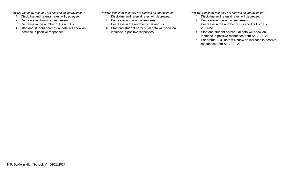| How will you know that they are causing an improvement?<br>Discipline and referral rates will decrease.<br>Decrease in chronic absenteeism.<br>3. Decrease in the number of Ds and Fs.<br>Staff and student perceptual data will show an<br>4.<br>increase in positive responses. | How will you know that they are causing an improvement?<br>Discipline and referral rates will decrease.<br>2. Decrease in chronic absenteeism.<br>3. Decrease in the number of Ds and Fs.<br>Staff and student perceptual data will show an<br>4.<br>increase in positive responses. | How will you know that they are causing an improvement?<br>1. Discipline and referral rates will decrease.<br>2. Decrease in chronic absenteeism.<br>3. Decrease in the number of D's and F's from SY<br>$2021 - 22$ .<br>4. Staff and student perceptual data will show an<br>increase in positive responses from SY 2021-22.<br>5. Panorama/SQS data will show an increase in positive<br>responses from SY 2021-22. |
|-----------------------------------------------------------------------------------------------------------------------------------------------------------------------------------------------------------------------------------------------------------------------------------|--------------------------------------------------------------------------------------------------------------------------------------------------------------------------------------------------------------------------------------------------------------------------------------|------------------------------------------------------------------------------------------------------------------------------------------------------------------------------------------------------------------------------------------------------------------------------------------------------------------------------------------------------------------------------------------------------------------------|
|-----------------------------------------------------------------------------------------------------------------------------------------------------------------------------------------------------------------------------------------------------------------------------------|--------------------------------------------------------------------------------------------------------------------------------------------------------------------------------------------------------------------------------------------------------------------------------------|------------------------------------------------------------------------------------------------------------------------------------------------------------------------------------------------------------------------------------------------------------------------------------------------------------------------------------------------------------------------------------------------------------------------|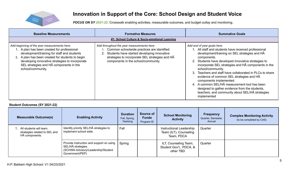

*FOCUS ON SY 2021-22:* Crosswalk enabling activities, measurable outcomes, and budget outlay and monitoring.

| <b>Baseline Measurements</b>                                                                                                                                                                                                                                                                                      | <b>Formative Measures</b><br>#1: School Culture & Socio-emotional Learning                                                                                                                                                              | <b>Summative Goals</b>                                                                                                                                                                                                                                                                                                                                                                                                                                                                                                                                                                        |
|-------------------------------------------------------------------------------------------------------------------------------------------------------------------------------------------------------------------------------------------------------------------------------------------------------------------|-----------------------------------------------------------------------------------------------------------------------------------------------------------------------------------------------------------------------------------------|-----------------------------------------------------------------------------------------------------------------------------------------------------------------------------------------------------------------------------------------------------------------------------------------------------------------------------------------------------------------------------------------------------------------------------------------------------------------------------------------------------------------------------------------------------------------------------------------------|
| Add beginning of the year measurements here.<br>1. A plan has been created for professional<br>development/training for staff and students<br>2. A plan has been created for students to begin<br>developing innovative strategies to incorporate<br>SEL strategies and HA components in the<br>school/community. | Add throughout the year measurements here.<br>1. Common schoolwide practices are identified<br>2. Students have started developing innovative<br>strategies to incorporate SEL strategies and HA<br>components in the school/community. | Add end of year goals here.<br>1. All staff and students have received professional<br>development/training on SEL strategies and HA<br>components.<br>Students have developed innovative strategies to<br>2.<br>incorporate SEL strategies and HA components in the<br>school/community.<br>Teachers and staff have collaborated in PLCs to share<br>evidence of common SEL strategies and HA<br>components implemented.<br>4. A common SEL/HA measurement tool has been<br>designed to gather evidence from the students,<br>teachers, and community about SEL/HA strategies<br>implemented |

#### **Student Outcomes (SY 2021-22)**

| <b>Measurable Outcome(s)</b>                                               | <b>Enabling Activity</b>                                                                                                | <b>Duration</b><br>Fall, Spring,<br>Yearlong | Source of<br><b>Funds</b><br>Program ID | <b>School Monitoring</b><br><b>Activity</b>                      | <b>Frequency</b><br>Quarter, Semester,<br>Annual | <b>Complex Monitoring Activity</b><br>(to be completed by CAS) |
|----------------------------------------------------------------------------|-------------------------------------------------------------------------------------------------------------------------|----------------------------------------------|-----------------------------------------|------------------------------------------------------------------|--------------------------------------------------|----------------------------------------------------------------|
| All students will learn<br>strategies related to SEL and<br>HĀ components. | Identify priority SEL/HA strategies to<br>implement school wide.                                                        | Fall                                         |                                         | Instructional Leadership<br>Team (ILT), Counseling<br>Team, PDCA | Quarter                                          |                                                                |
|                                                                            | Provide instruction and support on using<br>SEL/HĀ strategies.<br>(SCHWA-Advisory/Leadership/Student<br>Government/PEP) | Spring                                       |                                         | ILT, Counseling Team,<br>Student Gov't., PDCA, &<br>other TBD    | Quarter                                          |                                                                |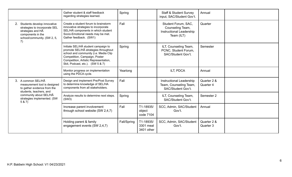|                                                                                                                                                | Gather student & staff feedback<br>regarding strategies learned.                                                                                                                                                                   | Spring      |                                      | <b>Staff &amp; Student Survey</b><br>input, SAC/Student Gov't.                           | Annual                   |
|------------------------------------------------------------------------------------------------------------------------------------------------|------------------------------------------------------------------------------------------------------------------------------------------------------------------------------------------------------------------------------------|-------------|--------------------------------------|------------------------------------------------------------------------------------------|--------------------------|
| 2. Students develop innovative<br>strategies to incorporate SEL<br>strategies and HA<br>components in the<br>school/community. (SW 2, 5,<br>7) | Create a student forum to brainstorm<br>innovative strategies to incorporate<br>SEL/HĀ components in which student<br>Socio-Emotional needs may be met.<br>Gather feedback. (SW1)                                                  | Fall        |                                      | Student Forum, SAC.<br>Counseling Team,<br><b>Instructional Leadership</b><br>Team (ILT) | Quarter                  |
|                                                                                                                                                | Initiate SEL/HA student campaign to<br>promote SEL/HA strategies throughout<br>school and community (i.e. Media Clip<br>Competition, Campaign, Poster<br>Competition, Artistic Representation,<br>Skit, Podcast, etc.). (SW 5 & 7) | Spring      |                                      | ILT, Counseling Team,<br>PCNC, Student Forum,<br>SAC/Student Gov't.                      | Semester                 |
|                                                                                                                                                | Monitor progress on implementation<br>using the PDCA cycle.                                                                                                                                                                        | Yearlong    |                                      | ILT, PDCA                                                                                | Annual                   |
| 3. A common SEL/HA<br>measurement tool is designed<br>to gather evidence from the<br>students, teachers, and                                   | Design and implement Pre/Post Survey<br>to determine knowledge of SEL/HA<br>components from all stakeholders.                                                                                                                      | Fall        |                                      | <b>Instructional Leadership</b><br>Team, Counseling Team,<br>SAC/Student Gov't.          | Quarter 2 &<br>Quarter 4 |
| community about SEL/HA<br>strategies implemented. (SW<br>5 & 7)                                                                                | Analyze results to determine next steps.<br>(SW3)                                                                                                                                                                                  | Spring      |                                      | ILT, Counseling Team,<br>SAC/Student Gov't.                                              | Semester 2               |
|                                                                                                                                                | Increase parent involvement<br>through school website (SW 2,4,7)                                                                                                                                                                   | Fall        | T1-18935/<br>object<br>code 7104     | SCC, Admin, SAC/Student<br>Gov't.                                                        | Annual                   |
|                                                                                                                                                | Holding parent & family<br>engagement events (SW 2,4,7)                                                                                                                                                                            | Fall/Spring | T1-18935/<br>3301 meal<br>3401 other | SCC, Admin, SAC/Student<br>Gov't.                                                        | Quarter 2 &<br>Quarter 3 |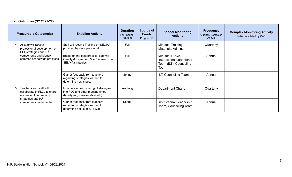### **Staff Outcomes (SY 2021-22)**

|                                                                                                                                         | <b>Measurable Outcome(s)</b>                                                                                   | <b>Enabling Activity</b>                                                                                | <b>Duration</b><br>Fall, Spring,<br>Yearlong | Source of<br><b>Funds</b><br>Program ID           | <b>School Monitoring</b><br><b>Activity</b>                                  | <b>Frequency</b><br>Quarter, Semester,<br>Annual | <b>Complex Monitoring Activity</b><br>(to be completed by CAS) |
|-----------------------------------------------------------------------------------------------------------------------------------------|----------------------------------------------------------------------------------------------------------------|---------------------------------------------------------------------------------------------------------|----------------------------------------------|---------------------------------------------------|------------------------------------------------------------------------------|--------------------------------------------------|----------------------------------------------------------------|
|                                                                                                                                         | 4. All staff will receive<br>professional development on                                                       | Staff will receive Training on SEL/HA<br>provided by state personnel                                    | Fall                                         |                                                   | Minutes, Training<br>Materials, Admin.                                       | Quarterly                                        |                                                                |
|                                                                                                                                         | SEL strategies and HA<br>components and identify<br>common schoolwide practices.                               | Based on the best practice, staff will<br>identify & implement 3 to 5 agreed upon<br>SEL/HA strategies. | Fall                                         |                                                   | Minutes, PDCA,<br>Instructional Leadership<br>Team (ILT), Counseling<br>Team | Annual                                           |                                                                |
|                                                                                                                                         |                                                                                                                | Gather feedback from teachers<br>regarding strategies learned to<br>determine next steps.               | Spring                                       |                                                   | ILT, Counseling Team                                                         | Annual                                           |                                                                |
| Teachers and staff will<br>5.<br>collaborate in PLCs to share<br>evidence of common SEL<br>strategies and HA<br>components implemented. | Incorporate peer sharing of strategies<br>into PLC and other meeting times<br>(faculty mtgs, waiver days etc). | Yearlong                                                                                                |                                              | <b>Department Chairs</b>                          | Quarterly                                                                    |                                                  |                                                                |
|                                                                                                                                         | Gather feedback from teachers<br>regarding strategies learned to<br>determine next steps. (SW3)                | Spring                                                                                                  |                                              | Instructional Leadership<br>Team, Counseling Team | Annual                                                                       |                                                  |                                                                |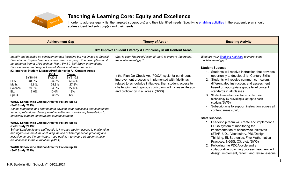

### **Teaching & Learning Core: Equity and Excellence**

In order to address equity, list the targeted subgroup(s) and their identified needs. Specifying enabling [activities](https://docs.google.com/document/d/1_CBCCCUPTqpr2sEeh1fQ9EUVupyhBBZlYUdzcm9zCw0) in the academic plan should address identified subgroup(s) and their needs.

| <b>Achievement Gap</b>                                                                                                                                                                                                                                                                                                                                                                                                                                                                                                                                                                                                                                                                                                                                                                                                                                            | <b>Theory of Action</b>                                                                                                                                                                                                                                                                                                                                                | <b>Enabling Activity</b>                                                                                                                                                                                                                                                                                                                                                                                                                                                                                                                                            |
|-------------------------------------------------------------------------------------------------------------------------------------------------------------------------------------------------------------------------------------------------------------------------------------------------------------------------------------------------------------------------------------------------------------------------------------------------------------------------------------------------------------------------------------------------------------------------------------------------------------------------------------------------------------------------------------------------------------------------------------------------------------------------------------------------------------------------------------------------------------------|------------------------------------------------------------------------------------------------------------------------------------------------------------------------------------------------------------------------------------------------------------------------------------------------------------------------------------------------------------------------|---------------------------------------------------------------------------------------------------------------------------------------------------------------------------------------------------------------------------------------------------------------------------------------------------------------------------------------------------------------------------------------------------------------------------------------------------------------------------------------------------------------------------------------------------------------------|
|                                                                                                                                                                                                                                                                                                                                                                                                                                                                                                                                                                                                                                                                                                                                                                                                                                                                   | #2: Improve Student Literacy & Proficiency in All Content Areas                                                                                                                                                                                                                                                                                                        |                                                                                                                                                                                                                                                                                                                                                                                                                                                                                                                                                                     |
| Identify and describe an achievement gap including but not limited to Special<br>Education or English Learners or any other sub group. The description must<br>be gathered from a CNA such as Title I, WASC Self Study, International<br>Baccalaureate, and may include additional local measurements.<br>#2: Improve Student Literacy/Proficiency in All Content Areas<br><b>GOAL</b><br><b>Target</b><br>SY21-22<br>SY18-19<br>SY20-21<br><b>ELA</b><br>48.3%<br>53.5%<br>56.5%<br>Math.<br>19.8%.<br>24.8%<br>27.8%<br>27.6%<br>Science.<br>19.6%.<br>24.6%<br>EL.<br>7.0%.<br>13%<br>10.0%<br>SpED.<br>6%<br>3.0%<br><b>WASC Schoolwide Critical Area for Follow-up #3</b><br>(Self Study 2019):<br>School leadership and staff need to develop clear processes that connect the<br>various professional development activities and monitor implementation to | What is your Theory of Action (if-then) to improve (decrease)<br>the achievement gap?<br>If the Plan-Do-Check-Act (PDCA) cycle for continuous<br>improvement process is implemented with fidelity as<br>related to schoolwide initiatives, then student access to<br>challenging and rigorous curriculum will increase literacy<br>and proficiency in all areas. (SW3) | What are your <b>Enabling Activities</b> to improve the<br>achievement gap?<br><b>Student Success</b><br>1. Students will receive instruction that provides<br>opportunity to develop 21st Century Skills<br>Students will receive common curriculum,<br>differentiated instruction, and assessment<br>based on appropriate grade level content<br>standards in all classes.<br>Students need access to curriculum via<br>technology by providing a laptop to each<br>student.(SW6)<br>Subscriptions to support instruction across all<br>4.<br>content areas (SW6) |
| effectively support teachers and student learning.<br><b>WASC Schoolwide Critical Area for Follow-up #5</b><br>(Self Study 2019):<br>School Leadership and staff needs to increase student access to challenging<br>and rigorous curriculum, (including the use of heterogeneous grouping and<br>inclusion across the curriculum - see goal #3), to ensure all students have<br>equal access to the curriculum. (SW 1)<br><b>WASC Schoolwide Critical Area for Follow-up #6</b><br>(Self Study 2019):                                                                                                                                                                                                                                                                                                                                                             |                                                                                                                                                                                                                                                                                                                                                                        | <b>Staff Success</b><br>1. Leadership team will create and implement a<br>PDCA system of monitoring the<br>implementation of schoolwide initiatives<br>(STAR, UDL, Vocabulary, PBL/Design<br>Thinking, EL Strategies, Five Mathematical<br>Practices, NGSS, C3, etc). (SW3)<br>2. Following the PDCA cycle and a<br>collaborative coaching process, teachers will<br>design, implement, reflect, and revise lessons                                                                                                                                                 |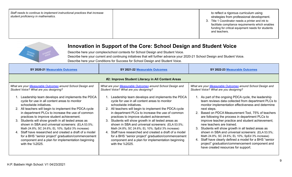| Staff needs to continue to implement instructional practices that increase<br>student proficiency in mathematics. | to reflect a rigorous curriculum using<br>strategies from professional development.<br>3. Title 1 Coordinator needs a printer and ink to<br>facilitate compliance requirements which enables<br>funding for critical equipment needs for students<br>and teachers. |
|-------------------------------------------------------------------------------------------------------------------|--------------------------------------------------------------------------------------------------------------------------------------------------------------------------------------------------------------------------------------------------------------------|
|-------------------------------------------------------------------------------------------------------------------|--------------------------------------------------------------------------------------------------------------------------------------------------------------------------------------------------------------------------------------------------------------------|



Describe here your complex/school contexts for School Design and Student Voice. Describe here your current and continuing initiatives that will further advance your 2020-21 School Design and Student Voice. Describe here your Conditions for Success for School Design and Student Voice.

| SY 2020-21 Measurable Outcomes                                                                                                                                                                                                                                                                                                                                                                                                                                                                                                                                                                                                                                                                                                                          | SY 2021-22 Measurable Outcomes                                                                                                                                                                                                                                                                                                                                                                                                                                                                                                                                                                                                                                                                                                                          | SY 2022-23 Measurable Outcomes                                                                                                                                                                                                                                                                                                                                                                                                                                                                                                                                                                                                                                                                                                                                                                         |  |  |  |  |
|---------------------------------------------------------------------------------------------------------------------------------------------------------------------------------------------------------------------------------------------------------------------------------------------------------------------------------------------------------------------------------------------------------------------------------------------------------------------------------------------------------------------------------------------------------------------------------------------------------------------------------------------------------------------------------------------------------------------------------------------------------|---------------------------------------------------------------------------------------------------------------------------------------------------------------------------------------------------------------------------------------------------------------------------------------------------------------------------------------------------------------------------------------------------------------------------------------------------------------------------------------------------------------------------------------------------------------------------------------------------------------------------------------------------------------------------------------------------------------------------------------------------------|--------------------------------------------------------------------------------------------------------------------------------------------------------------------------------------------------------------------------------------------------------------------------------------------------------------------------------------------------------------------------------------------------------------------------------------------------------------------------------------------------------------------------------------------------------------------------------------------------------------------------------------------------------------------------------------------------------------------------------------------------------------------------------------------------------|--|--|--|--|
|                                                                                                                                                                                                                                                                                                                                                                                                                                                                                                                                                                                                                                                                                                                                                         | #2: Improve Student Literacy in All Content Areas                                                                                                                                                                                                                                                                                                                                                                                                                                                                                                                                                                                                                                                                                                       |                                                                                                                                                                                                                                                                                                                                                                                                                                                                                                                                                                                                                                                                                                                                                                                                        |  |  |  |  |
| What are your Measurable Outcomes around School Design and<br>Student Voice? What are you designing?<br>Leadership team develops and implements the PDCA<br>cycle for use in all content areas to monitor<br>schoolwide initiatives.<br>2. All teachers will begin to implement the PDCA cycle<br>in department PLCs to increase the use of common<br>practices to improve student achievement.<br>3. Students will show growth in all tested areas as<br>shown in SBA and universal screeners: (ELA 53.5%;<br>Math 24.8%; SC 24.6%; EL 10%; SpEd 3% increase)<br>4. Staff have researched and created a draft of a model<br>for a BHS "senior project" graduation/commencement<br>component and a plan for implementation beginning<br>with the %2025. | What are your Measurable Outcomes around School Design and<br>Student Voice? What are you designing?<br>Leadership team develops and implements the PDCA<br>cycle for use in all content areas to monitor<br>schoolwide initiatives.<br>2. All teachers will begin to implement the PDCA cycle<br>in department PLCs to increase the use of common<br>practices to improve student achievement.<br>3. Students will show growth in all tested areas as<br>shown in SBA and universal screeners: (ELA 53.5%;<br>Math 24.8%; SC 24.6%; EL 10%; SpEd 3% increase)<br>4. Staff have researched and created a draft of a model<br>for a BHS "senior project" graduation/commencement<br>component and a plan for implementation beginning<br>with the %2025. | What are your Measurable Outcomes around School Design and<br>Student Voice? What are you designing?<br>1. As part of the ongoing PDCA cycle, the leadership<br>team reviews data collected from department PLCs to<br>monitor implementation effectiveness and determine<br>next steps.<br>2. Based on PDCA Measurement Tool, 75% of teachers<br>are following the process in department PLCs to<br>improve teacher practice and student achievement;<br>new teachers are trained.<br>3. Students will show growth in all tested areas as<br>shown in SBA and universal screeners: (ELA 53.5%;<br>Math 24.8%; SC 24.6%; EL 10%; SpEd 3% increase)<br>4. Staff have clearly defined a model for a BHS "senior<br>project" graduation/commencement component and<br>have created resources for support. |  |  |  |  |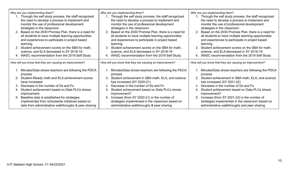| Why are you implementing them?<br>1. Through the self study process, the staff recognized<br>the need to develop a process to implement and<br>monitor the use of professional development<br>strategies in the classroom.<br>2. Based on the 2030 Promise Plan, there is a need for<br>all students to have multiple learning opportunities<br>and experiences to participate in project based<br>learning.<br>3. Student achievement scores on the SBA for math,<br>science, and ELA decreased in SY 2018-19<br>4. WASC recommendation from the 2019 Self Study | Why are you implementing them?<br>1. Through the self study process, the staff recognized<br>the need to develop a process to implement and<br>monitor the use of professional development<br>strategies in the classroom.<br>2. Based on the 2030 Promise Plan, there is a need for<br>all students to have multiple learning opportunities<br>and experiences to participate in project based<br>learning.<br>Student achievement scores on the SBA for math,<br>science, and ELA decreased in SY 2018-19<br>4. WASC recommendation from the 2019 Self Study | Why are you implementing them?<br>1. Through the self study process, the staff recognized<br>the need to develop a process to implement and<br>monitor the use of professional development<br>strategies in the classroom.<br>2. Based on the 2030 Promise Plan, there is a need for<br>all students to have multiple learning opportunities<br>and experiences to participate in project based<br>learning.<br>3.<br>Student achievement scores on the SBA for math,<br>science, and ELA decreased in SY 2018-19<br>4. WASC recommendation from the 2019 Self Study |
|-------------------------------------------------------------------------------------------------------------------------------------------------------------------------------------------------------------------------------------------------------------------------------------------------------------------------------------------------------------------------------------------------------------------------------------------------------------------------------------------------------------------------------------------------------------------|----------------------------------------------------------------------------------------------------------------------------------------------------------------------------------------------------------------------------------------------------------------------------------------------------------------------------------------------------------------------------------------------------------------------------------------------------------------------------------------------------------------------------------------------------------------|----------------------------------------------------------------------------------------------------------------------------------------------------------------------------------------------------------------------------------------------------------------------------------------------------------------------------------------------------------------------------------------------------------------------------------------------------------------------------------------------------------------------------------------------------------------------|
| How will you know that they are causing an improvement?                                                                                                                                                                                                                                                                                                                                                                                                                                                                                                           | How will you know that they are causing an improvement?                                                                                                                                                                                                                                                                                                                                                                                                                                                                                                        | How will you know that they are causing an improvement?                                                                                                                                                                                                                                                                                                                                                                                                                                                                                                              |
| 1. Minutes/Data shows teachers are following the PDCA<br>process<br>2. Student iReady math and ELA achievement scores<br>have increased<br>3. Decrease in the number of Ds and Fs.<br>4. Student achievement based on Data PLCs shows<br>improvement.<br>5. Baseline data is established for strategies<br>implemented from schoolwide initiatives based on<br>data from administrative walkthroughs & peer sharing                                                                                                                                               | 1. Minutes/Data shows teachers are following the PDCA<br>process<br>2. Student achievement in SBA math, ELA, and science<br>has increased (SY 2020-21)<br>Decrease in the number of Ds and Fs<br>Student achievement based on Data PLCs shows<br>4.<br>improvement?<br>5. Increase (from SY 2020-21) in the number of<br>strategies implemented in the classroom based on<br>administrative walkthroughs & peer sharing                                                                                                                                        | 1. Minutes/Data shows teachers are following the PDCA<br>process<br>2. Student achievement in SBA math, ELA, and science<br>has increased (SY 2021-22)<br>Decrease in the number of Ds and Fs<br>Student achievement based on Data PLCs shows<br>4.<br>improvement?<br>Increase (from SY 2021-22) in the number of<br>5.<br>strategies implemented in the classroom based on<br>administrative walkthroughs and peer sharing                                                                                                                                         |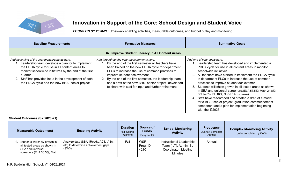

*FOCUS ON SY 2020-21:* Crosswalk enabling activities, measurable outcomes, and budget outlay and monitoring.

| <b>Baseline Measurements</b>                                                                                                                                                                                                                                                                                                      | <b>Formative Measures</b>                                                                                                                                                                                                                                                                                                                                                                                              | <b>Summative Goals</b>                                                                                                                                                                                                                                                                                                                                                                                                                                                                                                                                                                                                                                                                  |
|-----------------------------------------------------------------------------------------------------------------------------------------------------------------------------------------------------------------------------------------------------------------------------------------------------------------------------------|------------------------------------------------------------------------------------------------------------------------------------------------------------------------------------------------------------------------------------------------------------------------------------------------------------------------------------------------------------------------------------------------------------------------|-----------------------------------------------------------------------------------------------------------------------------------------------------------------------------------------------------------------------------------------------------------------------------------------------------------------------------------------------------------------------------------------------------------------------------------------------------------------------------------------------------------------------------------------------------------------------------------------------------------------------------------------------------------------------------------------|
|                                                                                                                                                                                                                                                                                                                                   | #2: Improve Student Literacy in All Content Areas                                                                                                                                                                                                                                                                                                                                                                      |                                                                                                                                                                                                                                                                                                                                                                                                                                                                                                                                                                                                                                                                                         |
| Add beginning of the year measurements here.<br>Leadership team develops a plan for to implement<br>the PDCA cycle for use in all content areas to<br>monitor schoolwide initiatives by the end of the first<br>quarter<br>Staff has provided input in the development of both<br>the PDCA cycle and the new BHS "senior project" | Add throughout the year measurements here.<br>By the end of the first semester all teachers have<br>been trained on the new PDCA cycle for department<br>PLCs to increase the use of common practices to<br>improve student achievement.<br>2. By the end of the first semester, the leadership team<br>has a draft of the new BHS "senior project" developed<br>to share with staff for input and further refinement. | Add end of year goals here.<br>Leadership team has developed and implemented a<br>PDCA cycle for use in all content areas to monitor<br>schoolwide initiatives.<br>2. All teachers have started to implement the PDCA cycle<br>in department PLCs to increase the use of common<br>practices to improve student achievement.<br>Students will show growth in all tested areas as shown<br>3.<br>in SBA and universal screeners: (ELA 53.5%; Math 24.8%;<br>SC 24.6%; EL 10%; SpEd 3% increase)<br>4. Staff have researched and created a draft of a model<br>for a BHS "senior project" graduation/commencement<br>component and a plan for implementation beginning<br>with the %2025. |

### **Student Outcomes (SY 2020-21)**

| <b>Measurable Outcome(s)</b>                                                                                     | <b>Enabling Activity</b>                                                              | <b>Duration</b><br>Fall, Spring,<br>Yearlong | Source of<br><b>Funds</b><br>Program ID | <b>School Monitoring</b><br><b>Activity</b>                                                 | <b>Frequency</b><br>Quarter, Semester,<br>Annual | <b>Complex Monitoring Activity</b><br>(to be completed by CAS) |
|------------------------------------------------------------------------------------------------------------------|---------------------------------------------------------------------------------------|----------------------------------------------|-----------------------------------------|---------------------------------------------------------------------------------------------|--------------------------------------------------|----------------------------------------------------------------|
| Students will show growth in<br>all tested areas as shown in<br>SBA and universal<br>screeners: (ELA 56.5%; Math | Analyze data (SBA, iReady, ACT, IABs,<br>etc) to determine achievement gaps.<br>(SW3) | Fall                                         | WSF,<br>Prog. ID<br>42101               | Instructional Leadership<br>Team (ILT), Admin, EL<br>Coordinator, Meeting<br><b>Minutes</b> | Annual                                           |                                                                |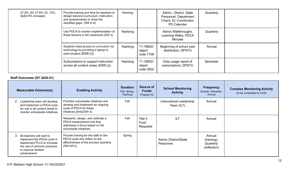| 27.8%; SC 27.6%; EL 13%;<br>SpEd 6% increase) | Provide training and time for teachers to<br>design lessons (curriculum, instruction,<br>and assessments) to close the<br>identified gaps. (SW 6 III) | Yearlong |                                  | Admin., District, State<br>Personnel, Department<br>Chairs, EL Coordinator,<br>PD Calendar | Quarterly |  |
|-----------------------------------------------|-------------------------------------------------------------------------------------------------------------------------------------------------------|----------|----------------------------------|--------------------------------------------------------------------------------------------|-----------|--|
|                                               | Use PDCA to monitor implementation of<br>these lessons in the classroom.(SW 3)                                                                        | Yearlong |                                  | Admin Walkthroughs,<br>Learning Walks, PDCA<br>Minutes                                     | Quarterly |  |
|                                               | Students need access to curriculum via<br>technology by providing a laptop to<br>each student. (SW6 (i))                                              | Yearlong | T1-18902/<br>object<br>code 7708 | Beginning of school year<br>distribution, DPSTU                                            | Annual    |  |
|                                               | Subscriptions to support instruction<br>across all content areas (SW6 (i))                                                                            | Yearlong | T1-18902/<br>object<br>code 3502 | Data usage report of<br>subscriptions, DPSTU                                               | Semester  |  |

### **Staff Outcomes (SY 2020-21)**

| <b>Measurable Outcome(s)</b>                                                                                                                                        | <b>Enabling Activity</b>                                                                                                          | <b>Duration</b><br>Fall, Spring,<br>Yearlong | Source of<br><b>Funds</b><br>Program ID | <b>School Monitoring</b><br><b>Activity</b> | <b>Frequency</b><br>Quarter, Semester,<br>Annual   | <b>Complex Monitoring Activity</b><br>(to be completed by CAS) |
|---------------------------------------------------------------------------------------------------------------------------------------------------------------------|-----------------------------------------------------------------------------------------------------------------------------------|----------------------------------------------|-----------------------------------------|---------------------------------------------|----------------------------------------------------|----------------------------------------------------------------|
| 2. Leadership team will develop<br>and implement a PDCA cycle<br>for use in all content areas to<br>monitor schoolwide initiatives.                                 | Prioritize schoolwide initiatives and<br>develop and implement an ongoing<br>cycle of PDCA for these<br>initiatives.(limit)(SW 3) | Fall                                         |                                         | Instructional Leadership<br>Team (ILT)      | Annual                                             |                                                                |
|                                                                                                                                                                     | Research, design, and calibrate a<br>PDCA measurement tool that<br>addresses a focus based on the<br>schoolwide initiatives.      | Fall                                         | Title II<br>Fund<br>Requests            | <b>ILT</b>                                  | Annual                                             |                                                                |
| 3.<br>All teachers will start to<br>implement the PDCA cycle in<br>department PLCs to increase<br>the use of common practices<br>to improve student<br>achievement. | Provide training for the staff on the<br>PDCA cycle and reflect on the<br>effectiveness of the process quarterly.<br>(SW 6(IV))   | Spring                                       |                                         | Admin./District/State<br>Personnel          | Annual<br>(training),<br>Quarterly<br>(reflection) |                                                                |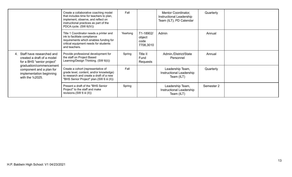|                                                                                                    | Create a collaborative coaching model<br>that includes time for teachers to plan,<br>implement, observe, and reflect on<br>instructional practices as part of the<br>PDCA cycle. (SW 6(IV)) | Fall     |                                          | Mentor Coordinator,<br>Instructional Leadership<br>Team (ILT), PD Calendar | Quarterly  |  |
|----------------------------------------------------------------------------------------------------|---------------------------------------------------------------------------------------------------------------------------------------------------------------------------------------------|----------|------------------------------------------|----------------------------------------------------------------------------|------------|--|
|                                                                                                    | Title 1 Coordinator needs a printer and<br>ink to facilitate compliance<br>requirements which enables funding for<br>critical equipment needs for students<br>and teachers.                 | Yearlong | T1-18902/<br>object<br>code<br>7708,3010 | Admin                                                                      | Annual     |  |
| 4. Staff have researched and<br>created a draft of a model<br>for a BHS "senior project"           | Provide professional development for<br>the staff on Project Based<br>Learning/Design Thinking. (SW 6(ii))                                                                                  | Spring   | Title II<br>Fund<br>Requests             | Admin./District/State<br>Personnel                                         | Annual     |  |
| graduation/commencement<br>component and a plan for<br>implementation beginning<br>with the %2025. | Create a cohort (representative of<br>grade level, content, and/or knowledge)<br>to research and create a draft of a new<br>"BHS Senior Project" plan.(SW 6 iii (II))                       | Fall     |                                          | Leadership Team,<br>Instructional Leadership<br>Team (ILT)                 | Quarterly  |  |
|                                                                                                    | Present a draft of the "BHS Senior<br>Project" to the staff and make<br>revisions.(SW 6 iii (II))                                                                                           | Spring   |                                          | Leadership Team,<br>Instructional Leadership<br>Team (ILT)                 | Semester 2 |  |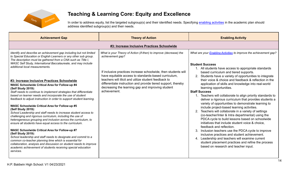

### **Teaching & Learning Core: Equity and Excellence**

In order to address equity, list the targeted subgroup(s) and their identified needs. Specifying enabling [activities](https://docs.google.com/document/d/1_CBCCCUPTqpr2sEeh1fQ9EUVupyhBBZlYUdzcm9zCw0) in the academic plan should address identified subgroup(s) and their needs.

| <b>Achievement Gap</b>                                                                                                                                                                                                                                                                                                                                                                                                                                                                                                                                                                                                                                                                                                                                                                                                                                                                                                                                                                                                                                                                                                                                                                                                                                                                                                                                 | <b>Theory of Action</b>                                                                                                                                                                                                                                                                                                                                                                                        | <b>Enabling Activity</b>                                                                                                                                                                                                                                                                                                                                                                                                                                                                                                                                                                                                                                                                                                                                                                                                                                                                                                                                                                                                                                                                                                                                                  |  |  |  |  |  |  |  |
|--------------------------------------------------------------------------------------------------------------------------------------------------------------------------------------------------------------------------------------------------------------------------------------------------------------------------------------------------------------------------------------------------------------------------------------------------------------------------------------------------------------------------------------------------------------------------------------------------------------------------------------------------------------------------------------------------------------------------------------------------------------------------------------------------------------------------------------------------------------------------------------------------------------------------------------------------------------------------------------------------------------------------------------------------------------------------------------------------------------------------------------------------------------------------------------------------------------------------------------------------------------------------------------------------------------------------------------------------------|----------------------------------------------------------------------------------------------------------------------------------------------------------------------------------------------------------------------------------------------------------------------------------------------------------------------------------------------------------------------------------------------------------------|---------------------------------------------------------------------------------------------------------------------------------------------------------------------------------------------------------------------------------------------------------------------------------------------------------------------------------------------------------------------------------------------------------------------------------------------------------------------------------------------------------------------------------------------------------------------------------------------------------------------------------------------------------------------------------------------------------------------------------------------------------------------------------------------------------------------------------------------------------------------------------------------------------------------------------------------------------------------------------------------------------------------------------------------------------------------------------------------------------------------------------------------------------------------------|--|--|--|--|--|--|--|
| #3: Increase Inclusive Practices Schoolwide                                                                                                                                                                                                                                                                                                                                                                                                                                                                                                                                                                                                                                                                                                                                                                                                                                                                                                                                                                                                                                                                                                                                                                                                                                                                                                            |                                                                                                                                                                                                                                                                                                                                                                                                                |                                                                                                                                                                                                                                                                                                                                                                                                                                                                                                                                                                                                                                                                                                                                                                                                                                                                                                                                                                                                                                                                                                                                                                           |  |  |  |  |  |  |  |
| Identify and describe an achievement gap including but not limited<br>to Special Education or English Learners or any other sub group.<br>The description must be gathered from a CNA such as Title I,<br>WASC Self Study, International Baccalaureate, and may include<br>additional local measurements.<br>#3: Increase Inclusive Practices Schoolwide<br>WASC Schoolwide Critical Area for Follow-up #4<br>(Self Study 2019):<br>Staff needs to continue to implement strategies that differentiate<br>based on learner needs and incorporate the use of student<br>feedback to adjust instruction in order to support student learning.<br><b>WASC Schoolwide Critical Area for Follow-up #5</b><br>(Self Study 2019):<br>School Leadership and staff needs to increase student access to<br>challenging and rigorous curriculum, including the use of<br>heterogeneous grouping and inclusion across the curriculum, to<br>ensure all students have equal access to the curriculum.<br><b>WASC Schoolwide Critical Area for Follow-up #7</b><br>(Self Study 2019):<br>School leadership and staff needs to designate and commit to a<br>common co-teacher planning time which is essential for<br>collaboration, analysis and discussion on student needs to improve<br>academic achievement of students receiving special education<br>services. | What is your Theory of Action (if-then) to improve (decrease) the<br>achievement gap?<br>If inclusive practices increase schoolwide, then students will<br>have equitable access to standards-based curriculum,<br>teachers will illicit and utilize student feedback to<br>differentiate instruction and provide tiered support, thereby<br>decreasing the learning gap and improving student<br>achievement. | What are your <b>Enabling Activities</b> to improve the achievement gap?<br><b>Student Success</b><br>1. All students have access to appropriate standards<br>based curriculum and tiered supports.<br>2. Students have a variety of opportunities to integrate<br>their voice & choice and feedback & reflection in the<br>application of skills and knowledge into real-world<br>learning opportunities.<br><b>Staff Success</b><br>1. Teachers will collaborate to align priority standards to<br>deliver a rigorous curriculum that provides students a<br>variety of opportunities to demonstrate learning to<br>include project-based learning activities.<br>2. Teachers will collaborate in a variety of settings<br>(co-teacher/Inter & Intra departmental) using the<br>PDCA cycle to build lessons based on schoolwide<br>initiatives that include student voice & choice.<br>feedback and reflection.<br>3. Inclusion teachers use the PDCA cycle to improve<br>inclusive practices and student achievement.<br>4. Leadership and teachers will examine current<br>student placement practices and refine the process<br>based on research and teacher input. |  |  |  |  |  |  |  |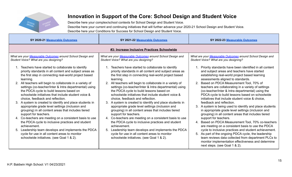

Describe here your complex/school contexts for School Design and Student Voice. Describe here your current and continuing initiatives that will further advance your 2020-21 School Design and Student Voice. Describe here your Conditions for Success for School Design and Student Voice.

| SY 2020-21 Measurable Outcomes                                                                                                                                                                                                                                                                                                                                                                                                                                                                                                                                                                                                                                                                                                                                                                                                                                                              | SY 2021-22 Measurable Outcomes                                                                                                                                                                                                                                                                                                                                                                                                                                                                                                                                                                                                                                                                                                                                                                                                                                                        | SY 2022-23 Measurable Outcomes                                                                                                                                                                                                                                                                                                                                                                                                                                                                                                                                                                                                                                                                                                                                                                                                                                                                                            |  |  |  |  |  |  |  |
|---------------------------------------------------------------------------------------------------------------------------------------------------------------------------------------------------------------------------------------------------------------------------------------------------------------------------------------------------------------------------------------------------------------------------------------------------------------------------------------------------------------------------------------------------------------------------------------------------------------------------------------------------------------------------------------------------------------------------------------------------------------------------------------------------------------------------------------------------------------------------------------------|---------------------------------------------------------------------------------------------------------------------------------------------------------------------------------------------------------------------------------------------------------------------------------------------------------------------------------------------------------------------------------------------------------------------------------------------------------------------------------------------------------------------------------------------------------------------------------------------------------------------------------------------------------------------------------------------------------------------------------------------------------------------------------------------------------------------------------------------------------------------------------------|---------------------------------------------------------------------------------------------------------------------------------------------------------------------------------------------------------------------------------------------------------------------------------------------------------------------------------------------------------------------------------------------------------------------------------------------------------------------------------------------------------------------------------------------------------------------------------------------------------------------------------------------------------------------------------------------------------------------------------------------------------------------------------------------------------------------------------------------------------------------------------------------------------------------------|--|--|--|--|--|--|--|
| #3: Increase Inclusive Practices Schoolwide                                                                                                                                                                                                                                                                                                                                                                                                                                                                                                                                                                                                                                                                                                                                                                                                                                                 |                                                                                                                                                                                                                                                                                                                                                                                                                                                                                                                                                                                                                                                                                                                                                                                                                                                                                       |                                                                                                                                                                                                                                                                                                                                                                                                                                                                                                                                                                                                                                                                                                                                                                                                                                                                                                                           |  |  |  |  |  |  |  |
| What are your Measurable Outcomes around School Design and<br>Student Voice? What are you designing?                                                                                                                                                                                                                                                                                                                                                                                                                                                                                                                                                                                                                                                                                                                                                                                        | What are your Measurable Outcomes around School Design and<br>Student Voice? What are you designing?                                                                                                                                                                                                                                                                                                                                                                                                                                                                                                                                                                                                                                                                                                                                                                                  | What are your Measurable Outcomes around School Design and<br>Student Voice? What are you designing?                                                                                                                                                                                                                                                                                                                                                                                                                                                                                                                                                                                                                                                                                                                                                                                                                      |  |  |  |  |  |  |  |
| 1. Teachers have started to collaborate to identify<br>priority standards in all content and subject areas as<br>the first step in connecting real-world project based<br>learning.<br>2. All teachers will begin to collaborate in a variety of<br>settings (co-teacher/Inter & Intra departmental) using<br>the PDCA cycle to build lessons based on<br>schoolwide initiatives that include student voice &<br>choice, feedback and reflection.<br>3. A system is created to identify and place students in<br>appropriate grade level settings (inclusion and<br>grouping) in all content areas that includes tiered<br>support for teachers.<br>4. Co-teachers are meeting on a consistent basis to use<br>the PDCA cycle to inclusive practices and student<br>achievement.<br>Leadership team develops and implements the PDCA<br>5.<br>cycle for use in all content areas to monitor | Teachers have started to collaborate to identify<br>priority standards in all content and subject areas as<br>the first step in connecting real-world project based<br>learning.<br>2. All teachers will begin to collaborate in a variety of<br>settings (co-teacher/Inter & Intra departmental) using<br>the PDCA cycle to build lessons based on<br>schoolwide initiatives that include student voice &<br>choice, feedback and reflection.<br>3. A system is created to identify and place students in<br>appropriate grade level settings (inclusion and<br>grouping) in all content areas that includes tiered<br>support for teachers.<br>4. Co-teachers are meeting on a consistent basis to use<br>the PDCA cycle to inclusive practices and student<br>achievement.<br>5. Leadership team develops and implements the PDCA<br>cycle for use in all content areas to monitor | 1. Priority standards have been identified in all content<br>and subject areas and teachers have started<br>establishing real-world project based learning<br>assessments aligned to standards.<br>2. Based on PDCA Measurement Tool, 70% of<br>teachers are collaborating in a variety of settings<br>(co-teacher/Inter & Intra departmental) using the<br>PDCA cycle to build lessons based on schoolwide<br>initiatives that include student voice & choice,<br>feedback and reflection.<br>3. A system is being used to identify and place students<br>in appropriate grade level settings (inclusion and<br>grouping) in all content areas that includes tiered<br>support for teachers.<br>4. Based on PDCA Measurement Tool, 70% co-teachers<br>are meeting on a consistent basis to use the PDCA<br>cycle to inclusive practices and student achievement.<br>5. As part of the ongoing PDCA cycle, the leadership |  |  |  |  |  |  |  |
| schoolwide initiatives. (see Goal 1 & 2).                                                                                                                                                                                                                                                                                                                                                                                                                                                                                                                                                                                                                                                                                                                                                                                                                                                   | schoolwide initiatives. (see Goal 1 & 2).                                                                                                                                                                                                                                                                                                                                                                                                                                                                                                                                                                                                                                                                                                                                                                                                                                             | team reviews data collected from department PLCs to<br>monitor implementation effectiveness and determine<br>next steps. (see Goal 1 & 2).                                                                                                                                                                                                                                                                                                                                                                                                                                                                                                                                                                                                                                                                                                                                                                                |  |  |  |  |  |  |  |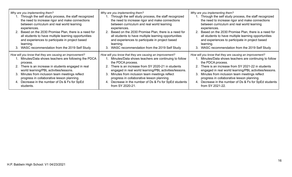| Why are you implementing them?<br>1. Through the self study process, the staff recognized<br>the need to increase rigor and make connections<br>between curriculum and real world learning<br>experiences.<br>2. Based on the 2030 Promise Plan, there is a need for<br>all students to have multiple learning opportunities<br>and experiences to participate in project based<br>learning.<br>3. WASC recommendation from the 2019 Self Study | Why are you implementing them?<br>Through the self study process, the staff recognized<br>the need to increase rigor and make connections<br>between curriculum and real world learning<br>experiences.<br>2. Based on the 2030 Promise Plan, there is a need for<br>all students to have multiple learning opportunities<br>and experiences to participate in project based<br>learning.<br>3. WASC recommendation from the 2019 Self Study | Why are you implementing them?<br>1. Through the self study process, the staff recognized<br>the need to increase rigor and make connections<br>between curriculum and real world learning<br>experiences.<br>2. Based on the 2030 Promise Plan, there is a need for<br>all students to have multiple learning opportunities<br>and experiences to participate in project based<br>learning.<br>3. WASC recommendation from the 2019 Self Study |
|-------------------------------------------------------------------------------------------------------------------------------------------------------------------------------------------------------------------------------------------------------------------------------------------------------------------------------------------------------------------------------------------------------------------------------------------------|----------------------------------------------------------------------------------------------------------------------------------------------------------------------------------------------------------------------------------------------------------------------------------------------------------------------------------------------------------------------------------------------------------------------------------------------|-------------------------------------------------------------------------------------------------------------------------------------------------------------------------------------------------------------------------------------------------------------------------------------------------------------------------------------------------------------------------------------------------------------------------------------------------|
| How will you know that they are causing an improvement?<br>1. Minutes/Data shows teachers are following the PDCA<br>process.<br>2. There is an increase in students engaged in real<br>world learning/PBL activities/lessons.<br>3. Minutes from inclusion team meetings reflect<br>progress in collaborative lesson planning.<br>4. Decrease in the number of Ds & Fs for SpEd<br>students.                                                    | How will you know that they are causing an improvement?<br>Minutes/Data shows teachers are continuing to follow<br>the PDCA process.<br>2. There is an increase from SY 2020-21 in students<br>engaged in real world learning/PBL activities/lessons.<br>Minutes from inclusion team meetings reflect<br>3.<br>progress in collaborative lesson planning.<br>4. Decrease in the number of Ds & Fs for SpEd students<br>from SY 2020-21.      | How will you know that they are causing an improvement?<br>1. Minutes/Data shows teachers are continuing to follow<br>the PDCA process.<br>2. There is an increase from SY 2021-22 in students<br>engaged in real world learning/PBL activities/lessons.<br>Minutes from inclusion team meetings reflect<br>3.<br>progress in collaborative lesson planning.<br>Decrease in the number of Ds & Fs for SpEd students<br>4.<br>from SY 2021-22.   |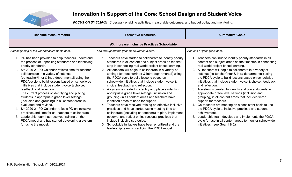

*FOCUS ON SY 2020-21:* Crosswalk enabling activities, measurable outcomes, and budget outlay and monitoring.

| <b>Baseline Measurements</b>                                                                                                                                                                                                                                                                                                                                                                                                                                                                                                                                                                                                                                                                                                                                                                                                                            | <b>Formative Measures</b>                                                                                                                                                                                                                                                                                                                                                                                                                                                                                                                                                                                                                                                                                                                                                                                                                                                                                                                                                                                                                         | <b>Summative Goals</b>                                                                                                                                                                                                                                                                                                                                                                                                                                                                                                                                                                                                                                                                                                                                                                                                                                                                                             |  |  |  |  |  |  |  |
|---------------------------------------------------------------------------------------------------------------------------------------------------------------------------------------------------------------------------------------------------------------------------------------------------------------------------------------------------------------------------------------------------------------------------------------------------------------------------------------------------------------------------------------------------------------------------------------------------------------------------------------------------------------------------------------------------------------------------------------------------------------------------------------------------------------------------------------------------------|---------------------------------------------------------------------------------------------------------------------------------------------------------------------------------------------------------------------------------------------------------------------------------------------------------------------------------------------------------------------------------------------------------------------------------------------------------------------------------------------------------------------------------------------------------------------------------------------------------------------------------------------------------------------------------------------------------------------------------------------------------------------------------------------------------------------------------------------------------------------------------------------------------------------------------------------------------------------------------------------------------------------------------------------------|--------------------------------------------------------------------------------------------------------------------------------------------------------------------------------------------------------------------------------------------------------------------------------------------------------------------------------------------------------------------------------------------------------------------------------------------------------------------------------------------------------------------------------------------------------------------------------------------------------------------------------------------------------------------------------------------------------------------------------------------------------------------------------------------------------------------------------------------------------------------------------------------------------------------|--|--|--|--|--|--|--|
| #3: Increase Inclusive Practices Schoolwide                                                                                                                                                                                                                                                                                                                                                                                                                                                                                                                                                                                                                                                                                                                                                                                                             |                                                                                                                                                                                                                                                                                                                                                                                                                                                                                                                                                                                                                                                                                                                                                                                                                                                                                                                                                                                                                                                   |                                                                                                                                                                                                                                                                                                                                                                                                                                                                                                                                                                                                                                                                                                                                                                                                                                                                                                                    |  |  |  |  |  |  |  |
| Add beginning of the year measurements here.                                                                                                                                                                                                                                                                                                                                                                                                                                                                                                                                                                                                                                                                                                                                                                                                            | Add throughout the year measurements here.                                                                                                                                                                                                                                                                                                                                                                                                                                                                                                                                                                                                                                                                                                                                                                                                                                                                                                                                                                                                        | Add end of year goals here.                                                                                                                                                                                                                                                                                                                                                                                                                                                                                                                                                                                                                                                                                                                                                                                                                                                                                        |  |  |  |  |  |  |  |
| 1. PD has been provided to help teachers understand<br>the process of unpacking standards and identifying<br>priority standards.<br>2. SY 2020-21 PD Calendar reflects time for teacher<br>collaboration in a variety of settings<br>(co-teacher/Inter & Intra departmental) using the<br>PDCA cycle to build lessons based on schoolwide<br>initiatives that include student voice & choice,<br>feedback and reflection.<br>The current process of identifying and placing<br>3.<br>students in appropriate grade level settings<br>(inclusion and grouping) in all content areas is<br>evaluated and revised.<br>4. SY 2020-21 PD Calendar reflects PD on inclusive<br>practices and time for co-teachers to collaborate<br>5. Leadership team has received training on the<br>PDCA model and has started developing a system<br>for using the model. | 1. Teachers have started to collaborate to identify priority<br>standards in all content and subject areas as the first<br>step in connecting real-world project based learning.<br>2. All teachers will begin to collaborate in a variety of<br>settings (co-teacher/Inter & Intra departmental) using<br>the PDCA cycle to build lessons based on<br>schoolwide initiatives that include student voice &<br>choice, feedback and reflection.<br>3. A system is created to identify and place students in<br>appropriate grade level settings (inclusion and<br>grouping) in all content areas and teachers have<br>identified areas of need for support.<br>Teachers have received training on effective inclusive<br>4.<br>practices and have started using meeting time to<br>collaborate (including co-teachers) to plan, implement,<br>observe, and reflect on instructional practices that<br>include inclusive strategies.<br>Schoolwide initiatives have been prioritized and the<br>5.<br>leadership team is practicing the PDCA model. | 1. Teachers continue to identify priority standards in all<br>content and subject areas as the first step in connecting<br>real-world project based learning.<br>2. All teachers will begin to collaborate in a variety of<br>settings (co-teacher/Inter & Intra departmental) using<br>the PDCA cycle to build lessons based on schoolwide<br>initiatives that include student voice & choice, feedback<br>and reflection.<br>3. A system is created to identify and place students in<br>appropriate grade level settings (inclusion and<br>grouping) in all content areas that includes tiered<br>support for teachers.<br>4. Co-teachers are meeting on a consistent basis to use<br>the PDCA cycle to inclusive practices and student<br>achievement.<br>Leadership team develops and implements the PDCA<br>5.<br>cycle for use in all content areas to monitor schoolwide<br>initiatives. (see Goal 1 & 2). |  |  |  |  |  |  |  |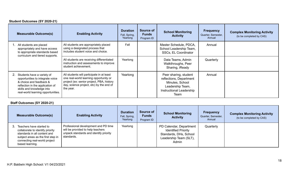### **Student Outcomes (SY 2020-21)**

| <b>Measurable Outcome(s)</b>                                                                                                                                                                     | <b>Enabling Activity</b>                                                                                                                                                                  | <b>Duration</b><br>Fall, Spring,<br>Yearlong | Source of<br><b>Funds</b><br>Program ID | <b>School Monitoring</b><br><b>Activity</b>                                                                                        | <b>Frequency</b><br>Quarter, Semester,<br>Annual | <b>Complex Monitoring Activity</b><br>(to be completed by CAS) |
|--------------------------------------------------------------------------------------------------------------------------------------------------------------------------------------------------|-------------------------------------------------------------------------------------------------------------------------------------------------------------------------------------------|----------------------------------------------|-----------------------------------------|------------------------------------------------------------------------------------------------------------------------------------|--------------------------------------------------|----------------------------------------------------------------|
| All students are placed<br>appropriately and have access<br>to appropriate standards based<br>curriculum and tiered supports.                                                                    | All students are appropriately placed<br>using a designated process that<br>includes student voice and choice.                                                                            | Fall                                         |                                         | Master Schedule, PDCA,<br>School Leadership Team,<br>SSCs, EL Coordinator                                                          | Annual                                           |                                                                |
|                                                                                                                                                                                                  | All students are receiving differentiated<br>instruction and assessments to improve<br>student achievement.                                                                               | Yearlong                                     |                                         | Data Teams, Admin<br>Walkthroughs, Peer<br>Sharing, iReady                                                                         | Quarterly                                        |                                                                |
| Students have a variety of<br>opportunities to integrate voice<br>& choice and feedback &<br>reflection in the application of<br>skills and knowledge into<br>real-world learning opportunities. | All students will participate in at least<br>one real-world learning opportunity or<br>project (ex: senior project, PBA, history<br>day, science project, etc) by the end of<br>the year. | Yearlong                                     |                                         | Peer sharing, student<br>reflections, Department<br>Minutes, School<br>Leadership Team,<br><b>Instructional Leadership</b><br>Team | Annual                                           |                                                                |

### **Staff Outcomes (SY 2020-21)**

| <b>Measurable Outcome(s)</b>                                                                                                                                                           | <b>Enabling Activity</b>                                                                                                          | <b>Duration</b><br>Fall, Spring,<br>Yearlong | Source of<br><b>Funds</b><br>Program ID | <b>School Monitoring</b><br><b>Activity</b>                                                                        | <b>Frequency</b><br>Quarter, Semester,<br>Annual | <b>Complex Monitoring Activity</b><br>(to be completed by CAS) |
|----------------------------------------------------------------------------------------------------------------------------------------------------------------------------------------|-----------------------------------------------------------------------------------------------------------------------------------|----------------------------------------------|-----------------------------------------|--------------------------------------------------------------------------------------------------------------------|--------------------------------------------------|----------------------------------------------------------------|
| Teachers have started to<br>collaborate to identify priority<br>standards in all content and<br>subject areas as the first step in<br>connecting real-world project<br>based learning. | Professional development and PD time<br>will be provided to help teachers<br>unpack standards and identify priority<br>standards. | Yearlong                                     |                                         | PD Calendar, Department<br><b>Identified Priority</b><br>Standards, DHs, School<br>Leadership Team (SLT),<br>Admin | Quarterly                                        |                                                                |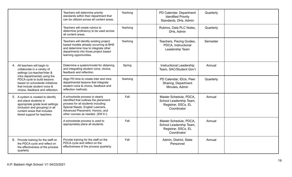|                                                                                                                                                                                                   | Teachers will determine priority<br>standards within their department that<br>can be utilized across all content areas.                                                                                                      | Yearlong | PD Calendar, Department<br><b>Identified Priority</b><br>Standards, DHs, Admin          | Quarterly |  |
|---------------------------------------------------------------------------------------------------------------------------------------------------------------------------------------------------|------------------------------------------------------------------------------------------------------------------------------------------------------------------------------------------------------------------------------|----------|-----------------------------------------------------------------------------------------|-----------|--|
|                                                                                                                                                                                                   | Teachers will create rubrics to<br>determine proficiency to be used across<br>all content areas.                                                                                                                             | Yearlong | Rubrics, Data PLC Notes,<br>DHs, Admin                                                  | Quarterly |  |
|                                                                                                                                                                                                   | Teachers will identify existing project<br>based models already occurring at BHS<br>and determine how to integrate other<br>departments into those project based<br>learning opportunities.                                  | Yearlong | Teachers, Pacing Guides,<br>PDCA, Instructional<br>Leadership Team                      | Semester  |  |
| 4. All teachers will begin to<br>collaborate in a variety of<br>settings (co-teacher/Inter &                                                                                                      | Determine a system/model for obtaining<br>and integrating student voice, choice,<br>feedback and reflection.                                                                                                                 | Spring   | Instructional Leadership<br>Team, SAC/Student Gov't                                     | Annual    |  |
| Intra departmental) using the<br>PDCA cycle to build lessons<br>based on schoolwide initiatives<br>that include student voice &<br>choice, feedback and reflection.                               | Align PD time to create inter and intra<br>departmental lessons that integrate<br>student voice & choice, feedback and<br>reflection methods.                                                                                | Yearlong | PD Calendar, IDUs, Peer<br>Sharing, Department<br>Minutes, Admin                        | Quarterly |  |
| 5. A system is created to identify<br>and place students in<br>appropriate grade level settings<br>(inclusion and grouping) in all<br>content areas that includes<br>tiered support for teachers. | A schoolwide process is clearly<br>identified that outlines the placement<br>process for all students including:<br>Special Needs, English Learners,<br>Advanced Placement, Honors, and<br>other courses as needed. (SW 6 i) | Fall     | Master Schedule, PDCA,<br>School Leadership Team,<br>Registrar, SSCs, EL<br>Coordinator | Annual    |  |
|                                                                                                                                                                                                   | A schoolwide process is used to<br>appropriately place all students.                                                                                                                                                         | Fall     | Master Schedule, PDCA,<br>School Leadership Team,<br>Registrar, SSCs, EL<br>Coordinator | Annual    |  |
| 6. Provide training for the staff on<br>the PDCA cycle and reflect on<br>the effectiveness of the process<br>quarterly.                                                                           | Provide training for the staff on the<br>PDCA cycle and reflect on the<br>effectiveness of the process quarterly.                                                                                                            | Fall     | Admin, District, State<br>Personnel                                                     | Annual    |  |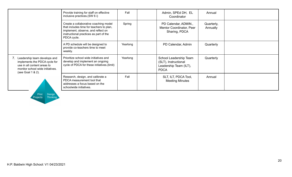|                                                                                                                                                       | Provide training for staff on effective<br>inclusive practices.(SW 6 i)                                                                                                          | Fall     | Admin, SPEd DH, EL<br>Coordinator                                                       | Annual                 |  |
|-------------------------------------------------------------------------------------------------------------------------------------------------------|----------------------------------------------------------------------------------------------------------------------------------------------------------------------------------|----------|-----------------------------------------------------------------------------------------|------------------------|--|
|                                                                                                                                                       | Create a collaborative coaching model<br>that includes time for teachers to plan,<br>implement, observe, and reflect on<br>instructional practices as part of the<br>PDCA cycle. | Spring   | PD Calendar, ADMIN.,<br>Mentor Coordinator, Peer<br>Sharing, PDCA                       | Quarterly,<br>Annually |  |
|                                                                                                                                                       | A PD schedule will be designed to<br>provide co-teachers time to meet<br>weekly.                                                                                                 | Yearlong | PD Calendar, Admin                                                                      | Quarterly              |  |
| Leadership team develops and<br>implements the PDCA cycle for<br>use in all content areas to<br>monitor school wide initiatives.<br>(see Goal 1 & 2). | Prioritize school wide initiatives and<br>develop and implement an ongoing<br>cycle of PDCA for these initiatives.(limit)                                                        | Yearlong | School Leadership Team<br>(SLT), Instructional<br>Leadership Team (ILT),<br><b>PDCA</b> | Quarterly              |  |
|                                                                                                                                                       | Research, design, and calibrate a<br>PDCA measurement tool that<br>addresses a focus based on the<br>schoolwide initiatives.                                                     | Fall     | SLT, ILT, PDCA Tool,<br><b>Meeting Minutes</b>                                          | Annual                 |  |

Pilot Design<br>Projects Thinking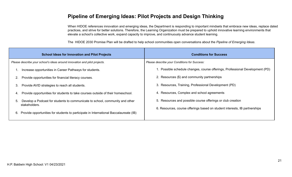### **Pipeline of Emerging Ideas: Pilot Projects and Design Thinking**

When HIDOE references innovation and emerging ideas, the Department is responding to important mindsets that embrace new ideas, replace dated practices, and strive for better solutions. Therefore, the Learning Organization must be prepared to uphold innovative learning environments that elevate a school's collective work, expand capacity to improve, and continuously advance student learning.

The HIDOE 2030 Promise Plan will be drafted to help school communities open conversations about the *Pipeline of Emerging Ideas*.

| <b>School Ideas for Innovation and Pilot Projects</b>                              |                                                                                       | <b>Conditions for Success</b>                                                 |  |  |
|------------------------------------------------------------------------------------|---------------------------------------------------------------------------------------|-------------------------------------------------------------------------------|--|--|
| Please describe your school's ideas around innovation and pilot projects.          |                                                                                       | Please describe your Conditions for Success:                                  |  |  |
| Increase opportunities in Career Pathways for students.                            |                                                                                       | 1. Possible schedule changes, course offerings, Professional Development (PD) |  |  |
| Provide opportunities for financial literacy courses.<br>2.                        |                                                                                       | 2. Resources (\$) and community partnerships                                  |  |  |
| 3.<br>Provide AVID strategies to reach all students.                               |                                                                                       | 3. Resources, Training, Professional Development (PD)                         |  |  |
| 4.                                                                                 | Provide opportunities for students to take courses outside of their homeschool.       | 4. Resources, Complex and school agreements                                   |  |  |
| Develop a Podcast for students to communicate to school, community and other<br>5. |                                                                                       | 5. Resources and possible course offerings or club creation                   |  |  |
| stakeholders.<br>6.                                                                | Provide opportunities for students to participate in International Baccalaureate (IB) | 6. Resources, course offerings based on student interests, IB partnerships    |  |  |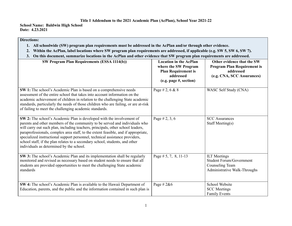#### **Title I Addendum to the 2021 Academic Plan (AcPlan), School Year 2021-22**

**School Name: Baldwin High School Date: 4.23.2021**

#### **Directions:**

- 1. All schoolwide (SW) program plan requirements must be addressed in the AcPlan and/or through other evidence.
- 2. Within the AcPlan, label locations where SW program plan requirements are addressed, if applicable (e.g. SW 5, SW 6, SW 7).
- 3. On this document, summarize locations in the AcPlan and other evidence that SW program plan requirements are addressed.

| <b>SW Program Plan Requirements (ESSA 1114(b))</b>                                                                                                                                                                                                                                                                                                                                                                                                                                                                                        | <b>Location in the AcPlan</b><br>where the SW Program<br><b>Plan Requirement is</b><br>addressed<br>(e.g. page #, section) | Other evidence that the SW<br><b>Program Plan Requirement is</b><br>addressed<br>(e.g. CNA, SCC Assurances) |
|-------------------------------------------------------------------------------------------------------------------------------------------------------------------------------------------------------------------------------------------------------------------------------------------------------------------------------------------------------------------------------------------------------------------------------------------------------------------------------------------------------------------------------------------|----------------------------------------------------------------------------------------------------------------------------|-------------------------------------------------------------------------------------------------------------|
| SW 1: The school's Academic Plan is based on a comprehensive needs<br>assessment of the entire school that takes into account information on the<br>academic achievement of children in relation to the challenging State academic<br>standards, particularly the needs of those children who are failing, or are at-risk<br>of failing to meet the challenging academic standards.                                                                                                                                                       | Page # 2, 6 & 8                                                                                                            | WASC Self Study (CNA)                                                                                       |
| SW 2: The school's Academic Plan is developed with the involvement of<br>parents and other members of the community to be served and individuals who<br>will carry out such plan, including teachers, principals, other school leaders,<br>paraprofessionals, complex area staff, to the extent feasible, and if appropriate,<br>specialized instructional support personnel, technical assistance providers,<br>school staff, if the plan relates to a secondary school, students, and other<br>individuals as determined by the school. | Page # 2, 3, 6                                                                                                             | <b>SCC</b> Assurances<br>Staff Meeting(s)                                                                   |
| SW 3: The school's Academic Plan and its implementation shall be regularly<br>monitored and revised as necessary based on student needs to ensure that all<br>students are provided opportunities to meet the challenging State academic<br>standards                                                                                                                                                                                                                                                                                     | Page $# 5, 7, 8, 11-13$                                                                                                    | <b>ILT</b> Meetings<br><b>Student Forum/Government</b><br>Counseling Team<br>Administrative Walk-Throughs   |
| SW 4: The school's Academic Plan is available to the Hawaii Department of<br>Education, parents, and the public and the information contained in such plan is                                                                                                                                                                                                                                                                                                                                                                             | Page # $2&6$                                                                                                               | School Website<br><b>SCC</b> Meetings<br><b>Family Events</b>                                               |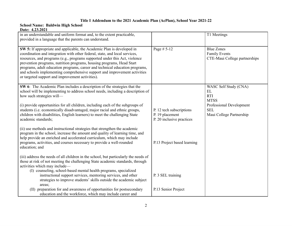#### **Title I Addendum to the 2021 Academic Plan (AcPlan), School Year 2021-22**

#### **School Name: Baldwin High School Date: 4.23.2021**

| in an understandable and uniform format and, to the extent practicable,<br>provided in a language that the parents can understand.                                                                                                                                                                                                                                                                                                                                                                                            |                                                                          | T1 Meetings                                                                |
|-------------------------------------------------------------------------------------------------------------------------------------------------------------------------------------------------------------------------------------------------------------------------------------------------------------------------------------------------------------------------------------------------------------------------------------------------------------------------------------------------------------------------------|--------------------------------------------------------------------------|----------------------------------------------------------------------------|
| SW 5: If appropriate and applicable, the Academic Plan is developed in<br>coordination and integration with other federal, state, and local services,<br>resources, and programs (e.g., programs supported under this Act, violence<br>prevention programs, nutrition programs, housing programs, Head Start<br>programs, adult education programs, career and technical education programs,<br>and schools implementing comprehensive support and improvement activities<br>or targeted support and improvement activities). | Page # 5-12                                                              | <b>Blue Zones</b><br><b>Family Events</b><br>CTE-Maui College partnerships |
| SW 6: The Academic Plan includes a description of the strategies that the<br>school will be implementing to address school needs, including a description of<br>how such strategies will-                                                                                                                                                                                                                                                                                                                                     |                                                                          | WASC Self Study (CNA)<br>EL<br><b>RTI</b><br><b>MTSS</b>                   |
| (i) provide opportunities for all children, including each of the subgroups of<br>students (i.e. economically disadvantaged, major racial and ethnic groups,<br>children with disabilities, English learners) to meet the challenging State<br>academic standards;                                                                                                                                                                                                                                                            | P. 12 tech subscriptions<br>P. 19 placement<br>P. 20 inclusive practices | Professional Development<br><b>SEL</b><br>Maui College Partnership         |
| (ii) use methods and instructional strategies that strengthen the academic<br>program in the school, increase the amount and quality of learning time, and<br>help provide an enriched and accelerated curriculum, which may include<br>programs, activities, and courses necessary to provide a well-rounded<br>education; and                                                                                                                                                                                               | P.13 Project based learning                                              |                                                                            |
| (iii) address the needs of all children in the school, but particularly the needs of<br>those at risk of not meeting the challenging State academic standards, through<br>activities which may include-<br>(I) counseling, school-based mental health programs, specialized                                                                                                                                                                                                                                                   |                                                                          |                                                                            |
| instructional support services, mentoring services, and other<br>strategies to improve students' skills outside the academic subject<br>areas;                                                                                                                                                                                                                                                                                                                                                                                | P. 3 SEL training                                                        |                                                                            |
| (II) preparation for and awareness of opportunities for postsecondary<br>education and the workforce, which may include career and                                                                                                                                                                                                                                                                                                                                                                                            | P.13 Senior Project                                                      |                                                                            |